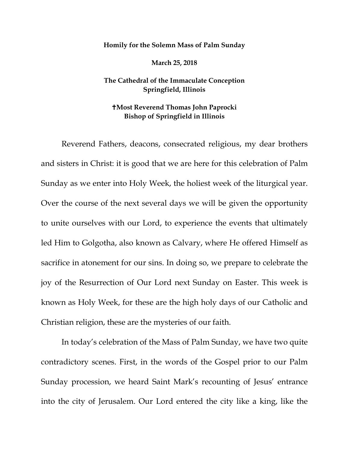## **Homily for the Solemn Mass of Palm Sunday**

**March 25, 2018** 

## **The Cathedral of the Immaculate Conception Springfield, Illinois**

## **Most Reverend Thomas John Paprocki Bishop of Springfield in Illinois**

Reverend Fathers, deacons, consecrated religious, my dear brothers and sisters in Christ: it is good that we are here for this celebration of Palm Sunday as we enter into Holy Week, the holiest week of the liturgical year. Over the course of the next several days we will be given the opportunity to unite ourselves with our Lord, to experience the events that ultimately led Him to Golgotha, also known as Calvary, where He offered Himself as sacrifice in atonement for our sins. In doing so, we prepare to celebrate the joy of the Resurrection of Our Lord next Sunday on Easter. This week is known as Holy Week, for these are the high holy days of our Catholic and Christian religion, these are the mysteries of our faith.

In today's celebration of the Mass of Palm Sunday, we have two quite contradictory scenes. First, in the words of the Gospel prior to our Palm Sunday procession, we heard Saint Mark's recounting of Jesus' entrance into the city of Jerusalem. Our Lord entered the city like a king, like the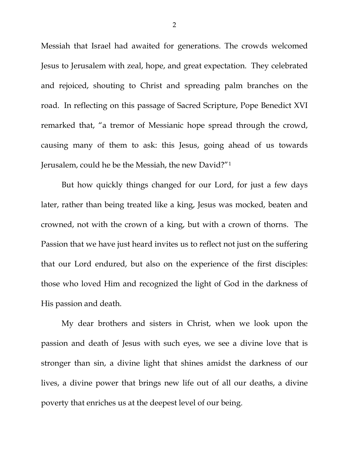Messiah that Israel had awaited for generations. The crowds welcomed Jesus to Jerusalem with zeal, hope, and great expectation. They celebrated and rejoiced, shouting to Christ and spreading palm branches on the road. In reflecting on this passage of Sacred Scripture, Pope Benedict XVI remarked that, "a tremor of Messianic hope spread through the crowd, causing many of them to ask: this Jesus, going ahead of us towards Jerusalem, could he be the Messiah, the new David?"[1](#page-2-0)

But how quickly things changed for our Lord, for just a few days later, rather than being treated like a king, Jesus was mocked, beaten and crowned, not with the crown of a king, but with a crown of thorns. The Passion that we have just heard invites us to reflect not just on the suffering that our Lord endured, but also on the experience of the first disciples: those who loved Him and recognized the light of God in the darkness of His passion and death.

My dear brothers and sisters in Christ, when we look upon the passion and death of Jesus with such eyes, we see a divine love that is stronger than sin, a divine light that shines amidst the darkness of our lives, a divine power that brings new life out of all our deaths, a divine poverty that enriches us at the deepest level of our being.